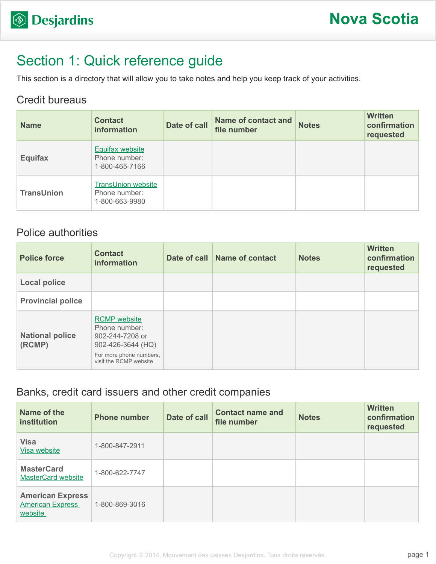# Section 1: Quick reference guide

This section is a directory that will allow you to take notes and help you keep track of your activities.

#### Credit bureaus

| <b>Name</b>       | <b>Contact</b><br><b>information</b>                         | Date of call | <b>Name of contact and</b><br>file number | <b>Notes</b> | <b>Written</b><br>confirmation<br>requested |
|-------------------|--------------------------------------------------------------|--------------|-------------------------------------------|--------------|---------------------------------------------|
| <b>Equifax</b>    | <b>Equifax website</b><br>Phone number:<br>1-800-465-7166    |              |                                           |              |                                             |
| <b>TransUnion</b> | <b>TransUnion website</b><br>Phone number:<br>1-800-663-9980 |              |                                           |              |                                             |

### Police authorities

| <b>Police force</b>              | <b>Contact</b><br>information                                                                                                      | Date of call Name of contact | <b>Notes</b> | <b>Written</b><br>confirmation<br>requested |
|----------------------------------|------------------------------------------------------------------------------------------------------------------------------------|------------------------------|--------------|---------------------------------------------|
| <b>Local police</b>              |                                                                                                                                    |                              |              |                                             |
| <b>Provincial police</b>         |                                                                                                                                    |                              |              |                                             |
| <b>National police</b><br>(RCMP) | <b>RCMP</b> website<br>Phone number:<br>902-244-7208 or<br>902-426-3644 (HQ)<br>For more phone numbers,<br>visit the RCMP website. |                              |              |                                             |

### Banks, credit card issuers and other credit companies

| Name of the<br>institution                                    | <b>Phone number</b> | Date of call | <b>Contact name and</b><br>file number | <b>Notes</b> | <b>Written</b><br>confirmation<br>requested |
|---------------------------------------------------------------|---------------------|--------------|----------------------------------------|--------------|---------------------------------------------|
| <b>Visa</b><br>Visa website                                   | 1-800-847-2911      |              |                                        |              |                                             |
| <b>MasterCard</b><br><b>MasterCard website</b>                | 1-800-622-7747      |              |                                        |              |                                             |
| <b>American Express</b><br><b>American Express</b><br>website | 1-800-869-3016      |              |                                        |              |                                             |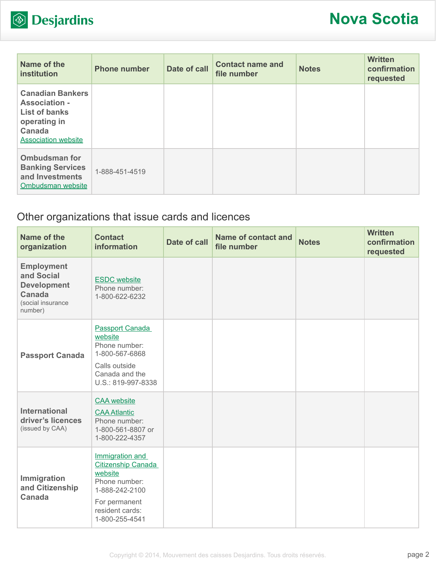

| Name of the<br><b>institution</b>                                                                                               | <b>Phone number</b> | Date of call | <b>Contact name and</b><br>file number | <b>Notes</b> | <b>Written</b><br>confirmation<br>requested |
|---------------------------------------------------------------------------------------------------------------------------------|---------------------|--------------|----------------------------------------|--------------|---------------------------------------------|
| <b>Canadian Bankers</b><br><b>Association -</b><br><b>List of banks</b><br>operating in<br>Canada<br><b>Association website</b> |                     |              |                                        |              |                                             |
| <b>Ombudsman for</b><br><b>Banking Services</b><br>and Investments<br>Ombudsman website                                         | 1-888-451-4519      |              |                                        |              |                                             |

## Other organizations that issue cards and licences

| Name of the<br>organization                                                                     | <b>Contact</b><br>information                                                                                                                    | <b>Date of call</b> | <b>Name of contact and</b><br>file number | <b>Notes</b> | <b>Written</b><br>confirmation<br>requested |
|-------------------------------------------------------------------------------------------------|--------------------------------------------------------------------------------------------------------------------------------------------------|---------------------|-------------------------------------------|--------------|---------------------------------------------|
| <b>Employment</b><br>and Social<br><b>Development</b><br>Canada<br>(social insurance<br>number) | <b>ESDC</b> website<br>Phone number:<br>1-800-622-6232                                                                                           |                     |                                           |              |                                             |
| <b>Passport Canada</b>                                                                          | Passport Canada<br>website<br>Phone number:<br>1-800-567-6868<br>Calls outside<br>Canada and the<br>U.S.: 819-997-8338                           |                     |                                           |              |                                             |
| <b>International</b><br>driver's licences<br>(issued by CAA)                                    | <b>CAA</b> website<br><b>CAA Atlantic</b><br>Phone number:<br>1-800-561-8807 or<br>1-800-222-4357                                                |                     |                                           |              |                                             |
| Immigration<br>and Citizenship<br><b>Canada</b>                                                 | Immigration and<br><b>Citizenship Canada</b><br>website<br>Phone number:<br>1-888-242-2100<br>For permanent<br>resident cards:<br>1-800-255-4541 |                     |                                           |              |                                             |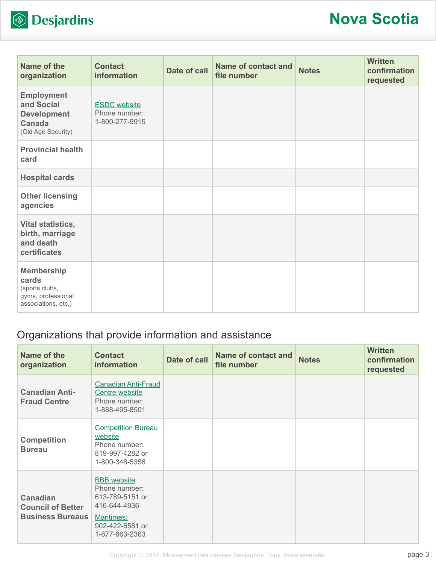

| Name of the<br>organization                                                               | <b>Contact</b><br>information                          | Date of call | <b>Name of contact and</b><br>file number | <b>Notes</b> | <b>Written</b><br>confirmation<br>requested |
|-------------------------------------------------------------------------------------------|--------------------------------------------------------|--------------|-------------------------------------------|--------------|---------------------------------------------|
| <b>Employment</b><br>and Social<br><b>Development</b><br>Canada<br>(Old Age Security)     | <b>ESDC</b> website<br>Phone number:<br>1-800-277-9915 |              |                                           |              |                                             |
| <b>Provincial health</b><br>card                                                          |                                                        |              |                                           |              |                                             |
| <b>Hospital cards</b>                                                                     |                                                        |              |                                           |              |                                             |
| <b>Other licensing</b><br>agencies                                                        |                                                        |              |                                           |              |                                             |
| Vital statistics,<br>birth, marriage<br>and death<br>certificates                         |                                                        |              |                                           |              |                                             |
| <b>Membership</b><br>cards<br>(sports clubs,<br>gyms, professional<br>associations, etc.) |                                                        |              |                                           |              |                                             |

## Organizations that provide information and assistance

| Name of the<br>organization                                            | <b>Contact</b><br><b>information</b>                                                       | Date of call | <b>Name of contact and</b><br>file number | <b>Notes</b> | <b>Written</b><br>confirmation<br>requested |
|------------------------------------------------------------------------|--------------------------------------------------------------------------------------------|--------------|-------------------------------------------|--------------|---------------------------------------------|
| <b>Canadian Anti-</b><br><b>Fraud Centre</b>                           | <b>Canadian Anti-Fraud</b><br>Centre website<br>Phone number:<br>1-888-495-8501            |              |                                           |              |                                             |
| <b>Competition</b><br><b>Bureau</b>                                    | <b>Competition Bureau</b><br>website<br>Phone number:<br>819-997-4282 or<br>1-800-348-5358 |              |                                           |              |                                             |
| <b>Canadian</b><br><b>Council of Better</b><br><b>Business Bureaus</b> | <b>BBB</b> website<br>Phone number:<br>613-789-5151 or<br>416-644-4936                     |              |                                           |              |                                             |
|                                                                        | Maritimes:<br>902-422-6581 or<br>1-877-663-2363                                            |              |                                           |              |                                             |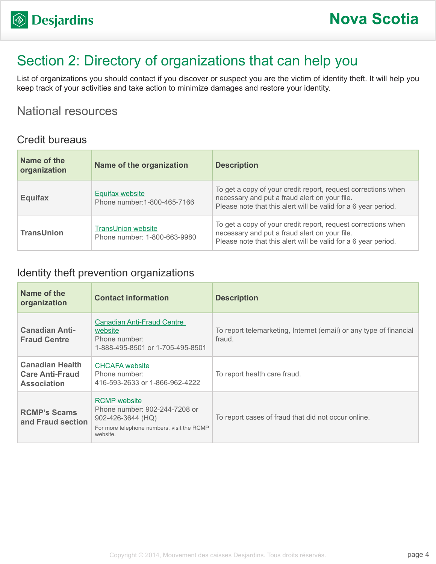# Section 2: Directory of organizations that can help you

List of organizations you should contact if you discover or suspect you are the victim of identity theft. It will help you keep track of your activities and take action to minimize damages and restore your identity.

### National resources

#### Credit bureaus

| Name of the<br>organization | Name of the organization                                  | <b>Description</b>                                                                                                                                                               |
|-----------------------------|-----------------------------------------------------------|----------------------------------------------------------------------------------------------------------------------------------------------------------------------------------|
| <b>Equifax</b>              | <b>Equifax website</b><br>Phone number: 1-800-465-7166    | To get a copy of your credit report, request corrections when<br>necessary and put a fraud alert on your file.<br>Please note that this alert will be valid for a 6 year period. |
| <b>TransUnion</b>           | <b>TransUnion website</b><br>Phone number: 1-800-663-9980 | To get a copy of your credit report, request corrections when<br>necessary and put a fraud alert on your file.<br>Please note that this alert will be valid for a 6 year period. |

#### Identity theft prevention organizations

| Name of the<br>organization                                            | <b>Contact information</b>                                                                                                                | <b>Description</b>                                                           |
|------------------------------------------------------------------------|-------------------------------------------------------------------------------------------------------------------------------------------|------------------------------------------------------------------------------|
| <b>Canadian Anti-</b><br><b>Fraud Centre</b>                           | Canadian Anti-Fraud Centre<br>website<br>Phone number:<br>1-888-495-8501 or 1-705-495-8501                                                | To report telemarketing, Internet (email) or any type of financial<br>fraud. |
| <b>Canadian Health</b><br><b>Care Anti-Fraud</b><br><b>Association</b> | <b>CHCAFA</b> website<br>Phone number:<br>416-593-2633 or 1-866-962-4222                                                                  | To report health care fraud.                                                 |
| <b>RCMP's Scams</b><br>and Fraud section                               | <b>RCMP</b> website<br>Phone number: 902-244-7208 or<br>$902 - 426 - 3644$ (HQ)<br>For more telephone numbers, visit the RCMP<br>website. | To report cases of fraud that did not occur online.                          |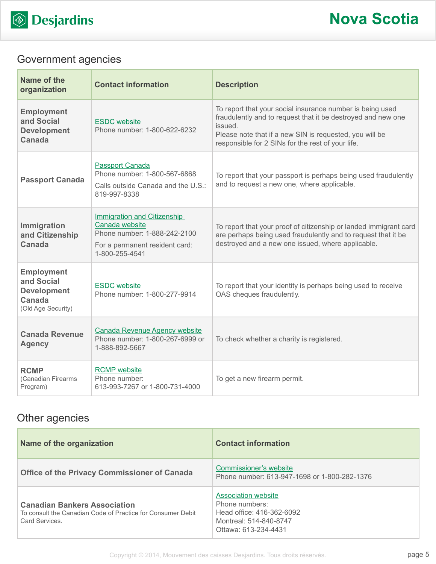

## Government agencies

| Name of the<br>organization                                                           | <b>Contact information</b>                                                                                                               | <b>Description</b>                                                                                                                                                                                                                                   |
|---------------------------------------------------------------------------------------|------------------------------------------------------------------------------------------------------------------------------------------|------------------------------------------------------------------------------------------------------------------------------------------------------------------------------------------------------------------------------------------------------|
| <b>Employment</b><br>and Social<br><b>Development</b><br>Canada                       | <b>ESDC</b> website<br>Phone number: 1-800-622-6232                                                                                      | To report that your social insurance number is being used<br>fraudulently and to request that it be destroyed and new one<br>issued.<br>Please note that if a new SIN is requested, you will be<br>responsible for 2 SINs for the rest of your life. |
| <b>Passport Canada</b>                                                                | <b>Passport Canada</b><br>Phone number: 1-800-567-6868<br>Calls outside Canada and the U.S.:<br>819-997-8338                             | To report that your passport is perhaps being used fraudulently<br>and to request a new one, where applicable.                                                                                                                                       |
| Immigration<br>and Citizenship<br><b>Canada</b>                                       | <b>Immigration and Citizenship</b><br>Canada website<br>Phone number: 1-888-242-2100<br>For a permanent resident card:<br>1-800-255-4541 | To report that your proof of citizenship or landed immigrant card<br>are perhaps being used fraudulently and to request that it be<br>destroyed and a new one issued, where applicable.                                                              |
| <b>Employment</b><br>and Social<br><b>Development</b><br>Canada<br>(Old Age Security) | <b>ESDC</b> website<br>Phone number: 1-800-277-9914                                                                                      | To report that your identity is perhaps being used to receive<br>OAS cheques fraudulently.                                                                                                                                                           |
| <b>Canada Revenue</b><br><b>Agency</b>                                                | <b>Canada Revenue Agency website</b><br>Phone number: 1-800-267-6999 or<br>1-888-892-5667                                                | To check whether a charity is registered.                                                                                                                                                                                                            |
| <b>RCMP</b><br>(Canadian Firearms<br>Program)                                         | <b>RCMP</b> website<br>Phone number:<br>613-993-7267 or 1-800-731-4000                                                                   | To get a new firearm permit.                                                                                                                                                                                                                         |

## Other agencies

| Name of the organization                                                                                            | <b>Contact information</b>                                                                                                  |
|---------------------------------------------------------------------------------------------------------------------|-----------------------------------------------------------------------------------------------------------------------------|
| <b>Office of the Privacy Commissioner of Canada</b>                                                                 | Commissioner's website<br>Phone number: 613-947-1698 or 1-800-282-1376                                                      |
| <b>Canadian Bankers Association</b><br>To consult the Canadian Code of Practice for Consumer Debit<br>Card Services | <b>Association website</b><br>Phone numbers:<br>Head office: 416-362-6092<br>Montreal: 514-840-8747<br>Ottawa: 613-234-4431 |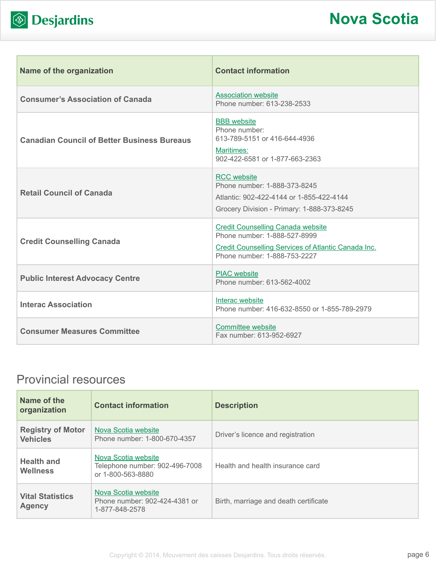

| <b>Name of the organization</b>                    | <b>Contact information</b>                                                                                                                                      |
|----------------------------------------------------|-----------------------------------------------------------------------------------------------------------------------------------------------------------------|
| <b>Consumer's Association of Canada</b>            | <b>Association website</b><br>Phone number: 613-238-2533                                                                                                        |
| <b>Canadian Council of Better Business Bureaus</b> | <b>BBB</b> website<br>Phone number:<br>613-789-5151 or 416-644-4936<br>Maritimes:<br>902-422-6581 or 1-877-663-2363                                             |
| <b>Retail Council of Canada</b>                    | <b>RCC</b> website<br>Phone number: 1-888-373-8245<br>Atlantic: 902-422-4144 or 1-855-422-4144<br>Grocery Division - Primary: 1-888-373-8245                    |
| <b>Credit Counselling Canada</b>                   | <b>Credit Counselling Canada website</b><br>Phone number: 1-888-527-8999<br>Credit Counselling Services of Atlantic Canada Inc.<br>Phone number: 1-888-753-2227 |
| <b>Public Interest Advocacy Centre</b>             | <b>PIAC</b> website<br>Phone number: 613-562-4002                                                                                                               |
| <b>Interac Association</b>                         | Interac website<br>Phone number: 416-632-8550 or 1-855-789-2979                                                                                                 |
| <b>Consumer Measures Committee</b>                 | <b>Committee website</b><br>Fax number: 613-952-6927                                                                                                            |

## Provincial resources

| Name of the<br>organization                 | <b>Contact information</b>                                                 | <b>Description</b>                    |
|---------------------------------------------|----------------------------------------------------------------------------|---------------------------------------|
| <b>Registry of Motor</b><br><b>Vehicles</b> | Nova Scotia website<br>Phone number: 1-800-670-4357                        | Driver's licence and registration     |
| <b>Health and</b><br><b>Wellness</b>        | Nova Scotia website<br>Telephone number: 902-496-7008<br>or 1-800-563-8880 | Health and health insurance card      |
| <b>Vital Statistics</b><br><b>Agency</b>    | Nova Scotia website<br>Phone number: 902-424-4381 or<br>1-877-848-2578     | Birth, marriage and death certificate |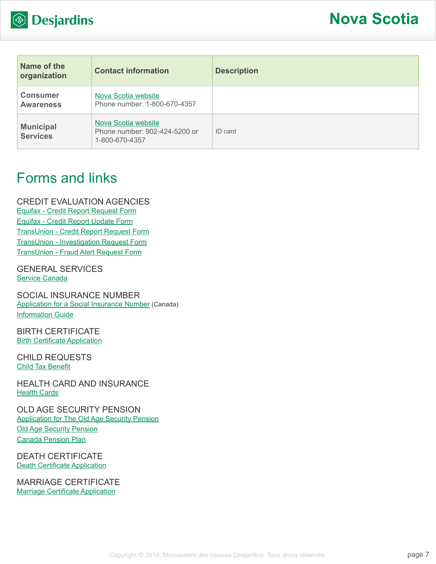

| Name of the<br>organization         | <b>Contact information</b>                                             | <b>Description</b> |
|-------------------------------------|------------------------------------------------------------------------|--------------------|
| <b>Consumer</b><br><b>Awareness</b> | Nova Scotia website<br>Phone number: 1-800-670-4357                    |                    |
| <b>Municipal</b><br><b>Services</b> | Nova Scotia website<br>Phone number: 902-424-5200 or<br>1-800-670-4357 | ID card            |

# Forms and links

CREDIT EVALUATION AGENCIES [Equifax - Credit Report Request Form](http://www.equifax.com/ecm/canada/EFXCreditReportRequestForm.pdf) [Equifax - Credit Report Update Form](http://www.consumer.equifax.ca/dispute-ca/canada-cr-update-form/en_ca) [TransUnion - Credit Report Request Form](http://www.transunion.ca/docs/personal/Consumer_Disclosure_Request_Form_en.pdf) [TransUnion - Investigation Request Form](http://www.transunion.ca/docs/personal/Credit Investigation Request Form_en.pdf) [TransUnion - Fraud Alert Request Form](http://www.transunion.ca/docs/personal/Ca_Fraud_Alert_Request_Form.pdf)

GENERAL SERVICES [Service Canada](http://www.servicecanada.gc.ca/eng/home.shtml)

SOCIAL INSURANCE NUMBER [Application for a Social Insurance Number](http://www.servicecanada.gc.ca/cgi-bin/search/eforms/index.cgi?app=prfl&frm=nas2120&ln=eng) (Canada) [Information Guide](http://www.servicecanada.gc.ca/eforms/forms/nas-2120-(09-13)e.pdf)

BIRTH CERTIFICATE [Birth Certificate Application](http://www.gov.ns.ca/snsmr/pdf/ans-vstat-birth-certificate-form.pdf)

CHILD REQUESTS [Child Tax Benefit](http://www.cra-arc.gc.ca/bnfts/cctb/menu-eng.html)

HEALTH CARD AND INSURANCE [Health Cards](http://www.gov.ns.ca/health/msi/health_cards.asp)

OLD AGE SECURITY PENSION [Application for The Old Age Security Pension](http://www.servicecanada.gc.ca/cgi-bin/search/eforms/index.cgi?app=prfl&frm=isp3000&ln=eng) [Old Age Security Pension](http://www.servicecanada.gc.ca/eng/sc/oas/pension/oldagesecurity.shtml) [Canada Pension Plan](http://www.servicecanada.gc.ca/eng/isp/cpp/cpptoc.shtml)

DEATH CERTIFICATE **[Death Certificate Application](http://www.gov.ns.ca/snsmr/pdf/ans-vstat-marriage-death-certificate-form.pdf)** 

MARRIAGE CERTIFICATE [Marriage Certificate Application](http://www.gov.ns.ca/snsmr/pdf/ans-vstat-marriage-death-certificate-form.pdf)